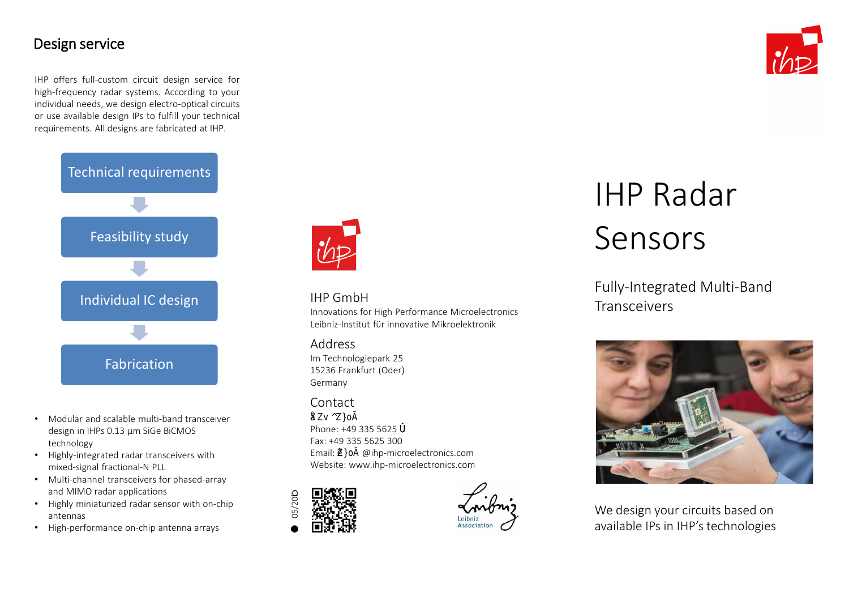# Design service

IHP offers full-custom circuit design service for high-frequency radar systems. According to your individual needs, we design electro-optical circuits or use available design IPs to fulfill your technical requirements. All designs are fabricated at IHP.



- Modular and scalable multi-band transceiver design in IHPs 0.13 µm SiGe BiCMOS technology
- Highly-integrated radar transceivers with mixed-signal fractional-N PLL
- Multi-channel transceivers for phased-array and MIMO radar applications
- Highly miniaturized radar sensor with on-chip antennas
- High-performance on-chip antenna arrays



# IHP GmbH

Innovations for High Performance Microelectronics Leibniz-Institut für innovative Mikroelektronik

#### Address

Im Technologiepark 25 15236 Frankfurt (Oder) Germany

# Contact

# ŒXZv ^Z}oÌ

Phone: +49 335 5625  $\delta$ Fax: +49 335 5625 300 Email:  $\vec{\mathbf{z}}\hat{\mathbf{l}}$  @ihp-microelectronics.com Website: www.ihp-microelectronics.com





innovations for high performance microelectronics

# IHP Radar Sensors

# Fully-Integrated Multi-Band Transceivers



We design your circuits based on available IPs in IHP's technologies